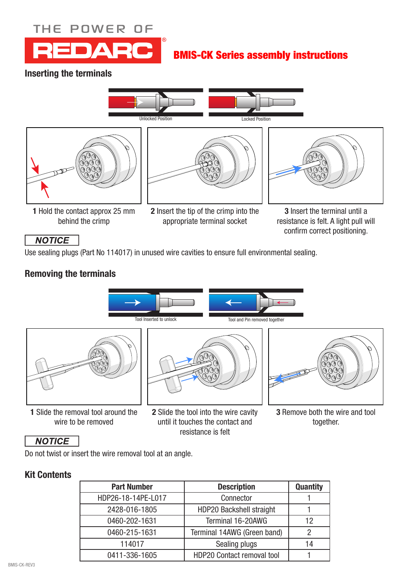# THE POWER OF **REDARC**

# BMIS-CK Series assembly instructions

### Inserting the terminals









1 Hold the contact approx 25 mm behind the crimp

2 Insert the tip of the crimp into the appropriate terminal socket

3 Insert the terminal until a resistance is felt. A light pull will confirm correct positioning.

#### **NOTICE**

Use sealing plugs (Part No 114017) in unused wire cavities to ensure full environmental sealing.

# Removing the terminals







3 Remove both the wire and tool together.

# **NOTICE**

Do not twist or insert the wire removal tool at an angle.

1 Slide the removal tool around the wire to be removed

#### Kit Contents

| <b>Part Number</b> | <b>Description</b>          | <b>Quantity</b> |
|--------------------|-----------------------------|-----------------|
| HDP26-18-14PE-L017 | Connector                   |                 |
| 2428-016-1805      | HDP20 Backshell straight    |                 |
| 0460-202-1631      | Terminal 16-20AWG           | 12              |
| 0460-215-1631      | Terminal 14AWG (Green band) |                 |
| 114017             | Sealing plugs               | 14              |
| 0411-336-1605      | HDP20 Contact removal tool  |                 |

2 Slide the tool into the wire cavity until it touches the contact and resistance is felt